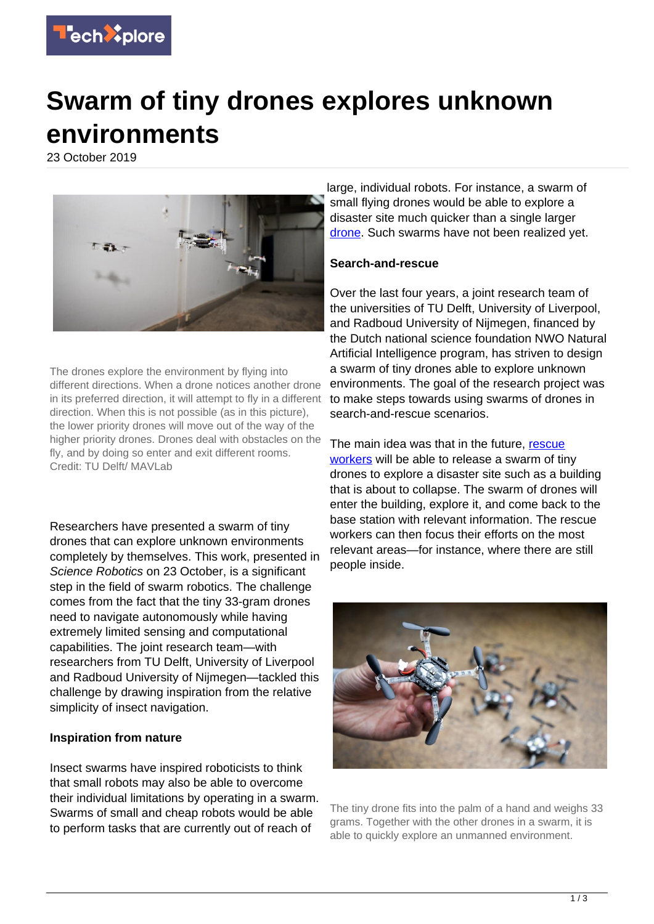

# **Swarm of tiny drones explores unknown environments**

23 October 2019



The drones explore the environment by flying into different directions. When a drone notices another drone in its preferred direction, it will attempt to fly in a different direction. When this is not possible (as in this picture), the lower priority drones will move out of the way of the higher priority drones. Drones deal with obstacles on the fly, and by doing so enter and exit different rooms. Credit: TU Delft/ MAVLab

Researchers have presented a swarm of tiny drones that can explore unknown environments completely by themselves. This work, presented in Science Robotics on 23 October, is a significant step in the field of swarm robotics. The challenge comes from the fact that the tiny 33-gram drones need to navigate autonomously while having extremely limited sensing and computational capabilities. The joint research team—with researchers from TU Delft, University of Liverpool and Radboud University of Nijmegen—tackled this challenge by drawing inspiration from the relative simplicity of insect navigation.

# **Inspiration from nature**

Insect swarms have inspired roboticists to think that small robots may also be able to overcome their individual limitations by operating in a swarm. Swarms of small and cheap robots would be able to perform tasks that are currently out of reach of

large, individual robots. For instance, a swarm of small flying drones would be able to explore a disaster site much quicker than a single larger [drone.](https://techxplore.com/tags/drone/) Such swarms have not been realized yet.

#### **Search-and-rescue**

Over the last four years, a joint research team of the universities of TU Delft, University of Liverpool, and Radboud University of Nijmegen, financed by the Dutch national science foundation NWO Natural Artificial Intelligence program, has striven to design a swarm of tiny drones able to explore unknown environments. The goal of the research project was to make steps towards using swarms of drones in search-and-rescue scenarios.

The main idea was that in the future, [rescue](https://techxplore.com/tags/rescue+workers/) [workers](https://techxplore.com/tags/rescue+workers/) will be able to release a swarm of tiny drones to explore a disaster site such as a building that is about to collapse. The swarm of drones will enter the building, explore it, and come back to the base station with relevant information. The rescue workers can then focus their efforts on the most relevant areas—for instance, where there are still people inside.



The tiny drone fits into the palm of a hand and weighs 33 grams. Together with the other drones in a swarm, it is able to quickly explore an unmanned environment.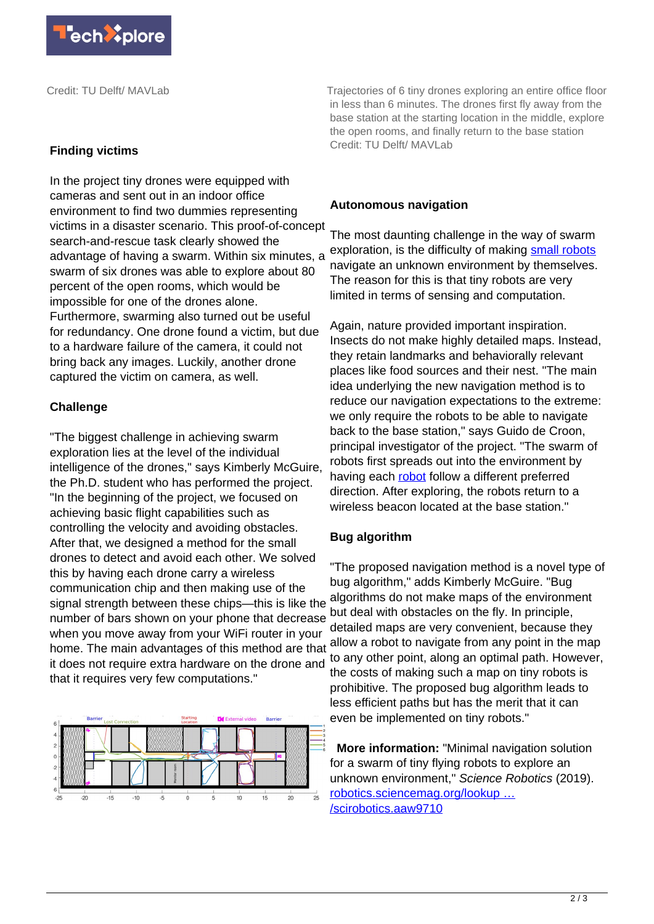

Credit: TU Delft/ MAVLab

#### **Finding victims**

In the project tiny drones were equipped with cameras and sent out in an indoor office environment to find two dummies representing victims in a disaster scenario. This proof-of-concept search-and-rescue task clearly showed the advantage of having a swarm. Within six minutes, a swarm of six drones was able to explore about 80 percent of the open rooms, which would be impossible for one of the drones alone. Furthermore, swarming also turned out be useful for redundancy. One drone found a victim, but due to a hardware failure of the camera, it could not bring back any images. Luckily, another drone captured the victim on camera, as well.

# **Challenge**

"The biggest challenge in achieving swarm exploration lies at the level of the individual intelligence of the drones," says Kimberly McGuire, the Ph.D. student who has performed the project. "In the beginning of the project, we focused on achieving basic flight capabilities such as controlling the velocity and avoiding obstacles. After that, we designed a method for the small drones to detect and avoid each other. We solved this by having each drone carry a wireless communication chip and then making use of the signal strength between these chips—this is like the number of bars shown on your phone that decrease when you move away from your WiFi router in your home. The main advantages of this method are that it does not require extra hardware on the drone and that it requires very few computations."



Trajectories of 6 tiny drones exploring an entire office floor in less than 6 minutes. The drones first fly away from the base station at the starting location in the middle, explore the open rooms, and finally return to the base station Credit: TU Delft/ MAVLab

# **Autonomous navigation**

The most daunting challenge in the way of swarm exploration, is the difficulty of making [small robots](https://techxplore.com/tags/small+robots/) navigate an unknown environment by themselves. The reason for this is that tiny robots are very limited in terms of sensing and computation.

Again, nature provided important inspiration. Insects do not make highly detailed maps. Instead, they retain landmarks and behaviorally relevant places like food sources and their nest. "The main idea underlying the new navigation method is to reduce our navigation expectations to the extreme: we only require the robots to be able to navigate back to the base station," says Guido de Croon, principal investigator of the project. "The swarm of robots first spreads out into the environment by having each [robot](https://techxplore.com/tags/robot/) follow a different preferred direction. After exploring, the robots return to a wireless beacon located at the base station."

# **Bug algorithm**

"The proposed navigation method is a novel type of bug algorithm," adds Kimberly McGuire. "Bug algorithms do not make maps of the environment but deal with obstacles on the fly. In principle, detailed maps are very convenient, because they allow a robot to navigate from any point in the map to any other point, along an optimal path. However, the costs of making such a map on tiny robots is prohibitive. The proposed bug algorithm leads to less efficient paths but has the merit that it can even be implemented on tiny robots."

 **More information:** "Minimal navigation solution for a swarm of tiny flying robots to explore an unknown environment," Science Robotics (2019). [robotics.sciencemag.org/lookup …](http://robotics.sciencemag.org/lookup/doi/10.1126/scirobotics.aaw9710) [/scirobotics.aaw9710](http://robotics.sciencemag.org/lookup/doi/10.1126/scirobotics.aaw9710)